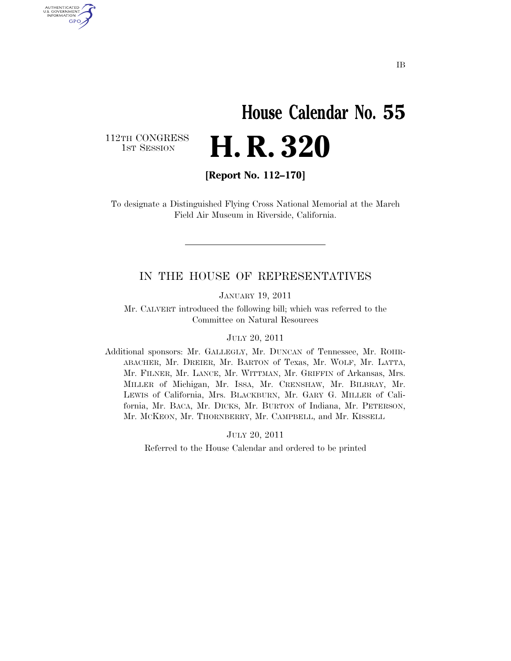## **House Calendar No. 55**  H. R. 320

112TH CONGRESS<br>1st Session

U.S. GOVERNMENT GPO

**[Report No. 112–170]** 

To designate a Distinguished Flying Cross National Memorial at the March Field Air Museum in Riverside, California.

### IN THE HOUSE OF REPRESENTATIVES

JANUARY 19, 2011

Mr. CALVERT introduced the following bill; which was referred to the Committee on Natural Resources

#### JULY 20, 2011

Additional sponsors: Mr. GALLEGLY, Mr. DUNCAN of Tennessee, Mr. ROHR-ABACHER, Mr. DREIER, Mr. BARTON of Texas, Mr. WOLF, Mr. LATTA, Mr. FILNER, Mr. LANCE, Mr. WITTMAN, Mr. GRIFFIN of Arkansas, Mrs. MILLER of Michigan, Mr. ISSA, Mr. CRENSHAW, Mr. BILBRAY, Mr. LEWIS of California, Mrs. BLACKBURN, Mr. GARY G. MILLER of California, Mr. BACA, Mr. DICKS, Mr. BURTON of Indiana, Mr. PETERSON, Mr. MCKEON, Mr. THORNBERRY, Mr. CAMPBELL, and Mr. KISSELL

JULY 20, 2011

Referred to the House Calendar and ordered to be printed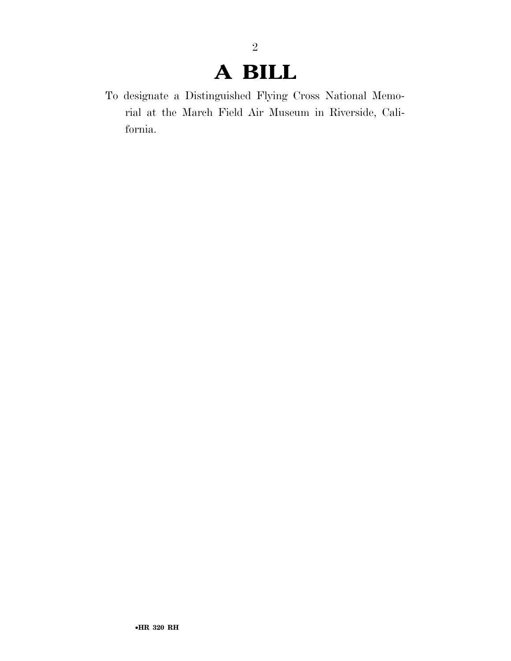### **A BILL**

2

To designate a Distinguished Flying Cross National Memorial at the March Field Air Museum in Riverside, California.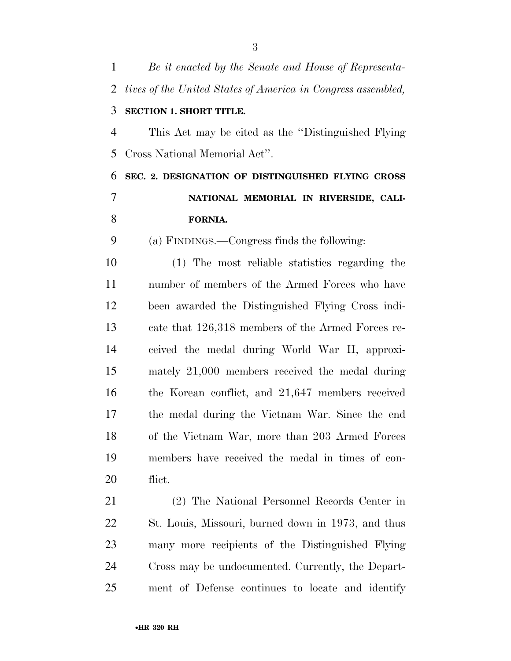| $\mathbf{1}$   | Be it enacted by the Senate and House of Representa-         |
|----------------|--------------------------------------------------------------|
| $\overline{2}$ | tives of the United States of America in Congress assembled, |
| 3              | <b>SECTION 1. SHORT TITLE.</b>                               |
| $\overline{4}$ | This Act may be cited as the "Distinguished Flying"          |
| 5              | Cross National Memorial Act".                                |
| 6              | SEC. 2. DESIGNATION OF DISTINGUISHED FLYING CROSS            |
| $\overline{7}$ | NATIONAL MEMORIAL IN RIVERSIDE, CALI-                        |
| 8              | FORNIA.                                                      |
| 9              | (a) FINDINGS.—Congress finds the following:                  |
| 10             | (1) The most reliable statistics regarding the               |
| 11             | number of members of the Armed Forces who have               |
| 12             | been awarded the Distinguished Flying Cross indi-            |
| 13             | cate that 126,318 members of the Armed Forces re-            |
| 14             | ceived the medal during World War II, approxi-               |
| 15             | mately 21,000 members received the medal during              |
| 16             | the Korean conflict, and 21,647 members received             |
| 17             | the medal during the Vietnam War. Since the end              |
| 18             | of the Vietnam War, more than 203 Armed Forces               |
| 19             | members have received the medal in times of con-             |
| 20             | flict.                                                       |
| 21             | (2) The National Personnel Records Center in                 |
| 22             | St. Louis, Missouri, burned down in 1973, and thus           |
| 23             | many more recipients of the Distinguished Flying             |
| 24             | Cross may be undocumented. Currently, the Depart-            |
| 25             | ment of Defense continues to locate and identify             |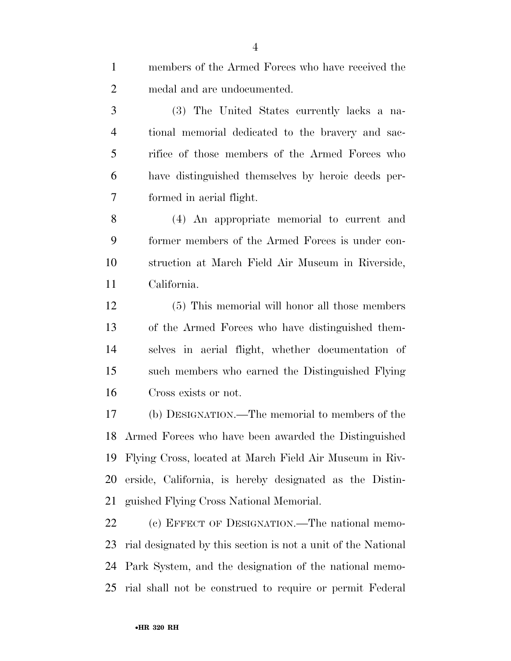| $\mathbf{1}$   | members of the Armed Forces who have received the             |
|----------------|---------------------------------------------------------------|
| $\overline{2}$ | medal and are undocumented.                                   |
| 3              | (3) The United States currently lacks a na-                   |
| $\overline{4}$ | tional memorial dedicated to the bravery and sac-             |
| 5              | rifice of those members of the Armed Forces who               |
| 6              | have distinguished themselves by heroic deeds per-            |
| 7              | formed in aerial flight.                                      |
| 8              | (4) An appropriate memorial to current and                    |
| 9              | former members of the Armed Forces is under con-              |
| 10             | struction at March Field Air Museum in Riverside,             |
| 11             | California.                                                   |
| 12             | (5) This memorial will honor all those members                |
| 13             | of the Armed Forces who have distinguished them-              |
| 14             | selves in aerial flight, whether documentation of             |
| 15             | such members who earned the Distinguished Flying              |
| 16             | Cross exists or not.                                          |
| 17             | (b) DESIGNATION.—The memorial to members of the               |
|                | 18 Armed Forces who have been awarded the Distinguished       |
| 19             | Flying Cross, located at March Field Air Museum in Riv-       |
| 20             | erside, California, is hereby designated as the Distin-       |
| 21             | guished Flying Cross National Memorial.                       |
| 22             | (c) EFFECT OF DESIGNATION.—The national memo-                 |
| 23             | rial designated by this section is not a unit of the National |

rial shall not be construed to require or permit Federal

Park System, and the designation of the national memo-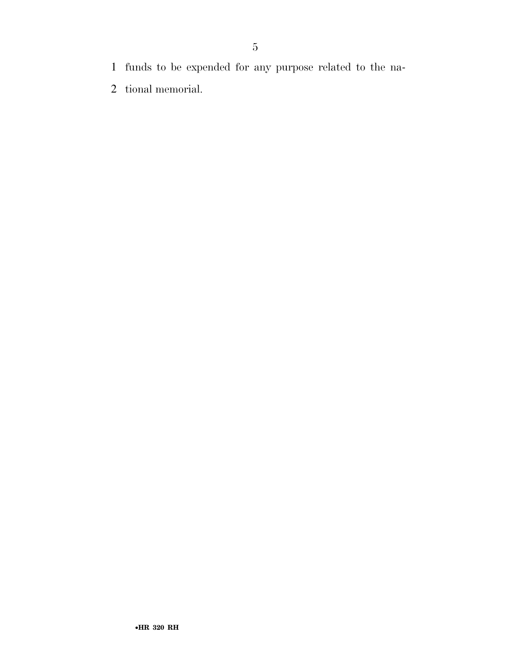- funds to be expended for any purpose related to the na-
- tional memorial.